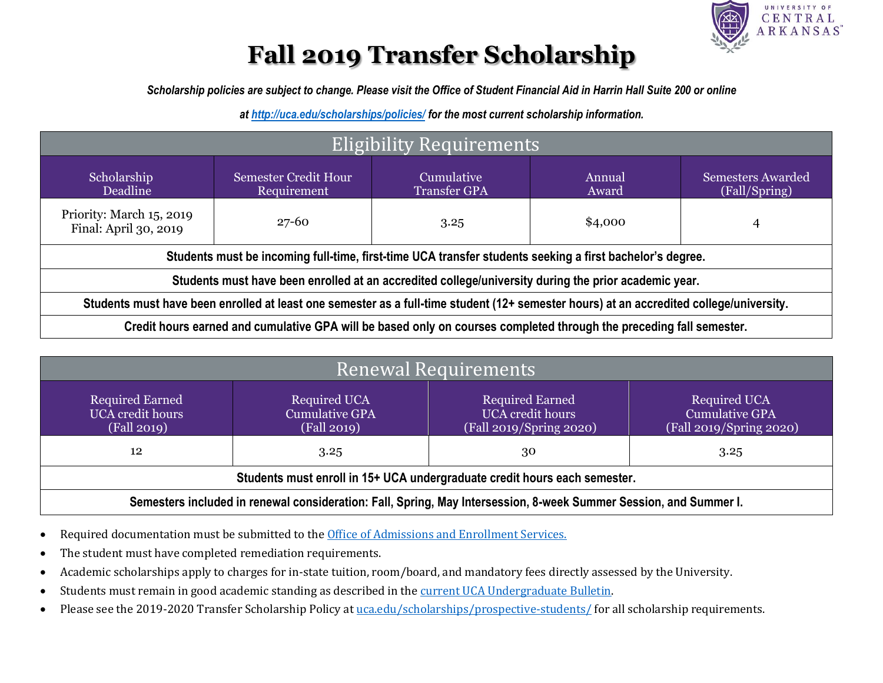

## **Fall 2019 Transfer Scholarship**

*Scholarship policies are subject to change. Please visit the Office of Student Financial Aid in Harrin Hall Suite 200 or online* 

*at<http://uca.edu/scholarships/policies/> for the most current scholarship information.*

| Eligibility Requirements                                                                                                                |                                            |                                   |                 |                                           |
|-----------------------------------------------------------------------------------------------------------------------------------------|--------------------------------------------|-----------------------------------|-----------------|-------------------------------------------|
| Scholarship<br>Deadline                                                                                                                 | <b>Semester Credit Hour</b><br>Requirement | Cumulative<br><b>Transfer GPA</b> | Annual<br>Award | <b>Semesters Awarded</b><br>(Fall/Spring) |
| Priority: March 15, 2019<br>Final: April 30, 2019                                                                                       | $27 - 60$<br>\$4,000<br>3.25               |                                   |                 | 4                                         |
| Students must be incoming full-time, first-time UCA transfer students seeking a first bachelor's degree.                                |                                            |                                   |                 |                                           |
| Students must have been enrolled at an accredited college/university during the prior academic year.                                    |                                            |                                   |                 |                                           |
| Students must have been enrolled at least one semester as a full-time student (12+ semester hours) at an accredited college/university. |                                            |                                   |                 |                                           |
| Credit hours earned and cumulative GPA will be based only on courses completed through the preceding fall semester.                     |                                            |                                   |                 |                                           |

| Renewal Requirements                                                                                              |                                                      |                                                                       |                                                                         |  |
|-------------------------------------------------------------------------------------------------------------------|------------------------------------------------------|-----------------------------------------------------------------------|-------------------------------------------------------------------------|--|
| <b>Required Earned</b><br><b>UCA</b> credit hours<br>(Fall 2019)                                                  | Required UCA<br><b>Cumulative GPA</b><br>(Fall 2019) | <b>Required Earned</b><br>UCA credit hours<br>(Fall 2019/Spring 2020) | <b>Required UCA</b><br><b>Cumulative GPA</b><br>(Fall 2019/Spring 2020) |  |
| 12                                                                                                                | 3.25                                                 | 30                                                                    | 3.25                                                                    |  |
| Students must enroll in 15+ UCA undergraduate credit hours each semester.                                         |                                                      |                                                                       |                                                                         |  |
| Semesters included in renewal consideration: Fall, Spring, May Intersession, 8-week Summer Session, and Summer I. |                                                      |                                                                       |                                                                         |  |

- Required documentation must be submitted to th[e Office of Admissions and Enrollment Services.](https://uca.edu/admissions/apply/transfer/)
- The student must have completed remediation requirements.
- Academic scholarships apply to charges for in-state tuition, room/board, and mandatory fees directly assessed by the University.
- Students must remain in good academic standing as described in the [current UCA Undergraduate Bulletin.](http://uca.edu/ubulletin/general-policies-information/academic-records/)
- Please see the 2019-2020 Transfer Scholarship Policy a[t uca.edu/scholarships/prospective-students/](https://uca.edu/scholarships/prospective-students/) for all scholarship requirements.